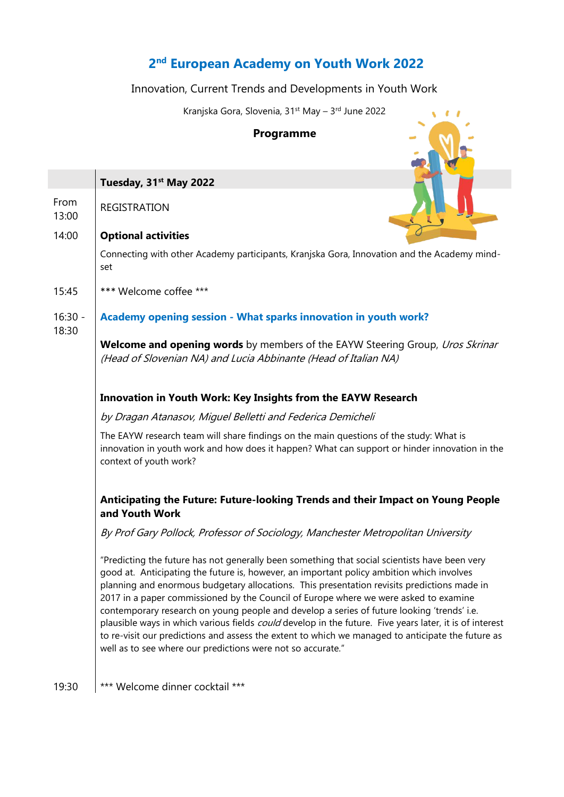# **2 nd European Academy on Youth Work 2022**

## Innovation, Current Trends and Developments in Youth Work

Kranjska Gora, Slovenia, 31<sup>st</sup> May – 3<sup>rd</sup> June 2022

 $\sqrt{1}$ 

## **Programme**

|                    | Tuesday, 31 <sup>st</sup> May 2022                                                                                                                                                                                                                                                                                                                                                                                                                                                                                                                                                                                                                                                                                                                             |
|--------------------|----------------------------------------------------------------------------------------------------------------------------------------------------------------------------------------------------------------------------------------------------------------------------------------------------------------------------------------------------------------------------------------------------------------------------------------------------------------------------------------------------------------------------------------------------------------------------------------------------------------------------------------------------------------------------------------------------------------------------------------------------------------|
| From<br>13:00      | <b>REGISTRATION</b>                                                                                                                                                                                                                                                                                                                                                                                                                                                                                                                                                                                                                                                                                                                                            |
| 14:00              | <b>Optional activities</b>                                                                                                                                                                                                                                                                                                                                                                                                                                                                                                                                                                                                                                                                                                                                     |
|                    | Connecting with other Academy participants, Kranjska Gora, Innovation and the Academy mind-<br>set                                                                                                                                                                                                                                                                                                                                                                                                                                                                                                                                                                                                                                                             |
| 15:45              | *** Welcome coffee ***                                                                                                                                                                                                                                                                                                                                                                                                                                                                                                                                                                                                                                                                                                                                         |
| $16:30 -$<br>18:30 | Academy opening session - What sparks innovation in youth work?                                                                                                                                                                                                                                                                                                                                                                                                                                                                                                                                                                                                                                                                                                |
|                    | <b>Welcome and opening words</b> by members of the EAYW Steering Group, <i>Uros Skrinar</i><br>(Head of Slovenian NA) and Lucia Abbinante (Head of Italian NA)                                                                                                                                                                                                                                                                                                                                                                                                                                                                                                                                                                                                 |
|                    | <b>Innovation in Youth Work: Key Insights from the EAYW Research</b>                                                                                                                                                                                                                                                                                                                                                                                                                                                                                                                                                                                                                                                                                           |
|                    | by Dragan Atanasov, Miguel Belletti and Federica Demicheli                                                                                                                                                                                                                                                                                                                                                                                                                                                                                                                                                                                                                                                                                                     |
|                    | The EAYW research team will share findings on the main questions of the study: What is<br>innovation in youth work and how does it happen? What can support or hinder innovation in the<br>context of youth work?                                                                                                                                                                                                                                                                                                                                                                                                                                                                                                                                              |
|                    | Anticipating the Future: Future-looking Trends and their Impact on Young People<br>and Youth Work                                                                                                                                                                                                                                                                                                                                                                                                                                                                                                                                                                                                                                                              |
|                    | By Prof Gary Pollock, Professor of Sociology, Manchester Metropolitan University                                                                                                                                                                                                                                                                                                                                                                                                                                                                                                                                                                                                                                                                               |
|                    | "Predicting the future has not generally been something that social scientists have been very<br>good at. Anticipating the future is, however, an important policy ambition which involves<br>planning and enormous budgetary allocations. This presentation revisits predictions made in<br>2017 in a paper commissioned by the Council of Europe where we were asked to examine<br>contemporary research on young people and develop a series of future looking 'trends' i.e.<br>plausible ways in which various fields could develop in the future. Five years later, it is of interest<br>to re-visit our predictions and assess the extent to which we managed to anticipate the future as<br>well as to see where our predictions were not so accurate." |
| 19:30              | *** Welcome dinner cocktail ***                                                                                                                                                                                                                                                                                                                                                                                                                                                                                                                                                                                                                                                                                                                                |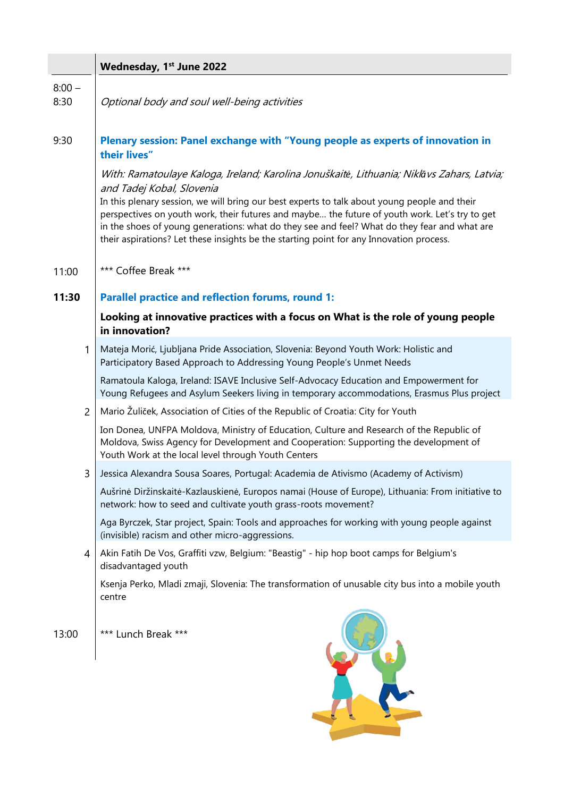|                  | Wednesday, 1 <sup>st</sup> June 2022                                                                                                                                                                                                                                                                                                                                                                                                                                                                                 |
|------------------|----------------------------------------------------------------------------------------------------------------------------------------------------------------------------------------------------------------------------------------------------------------------------------------------------------------------------------------------------------------------------------------------------------------------------------------------------------------------------------------------------------------------|
| $8:00 -$<br>8:30 | Optional body and soul well-being activities                                                                                                                                                                                                                                                                                                                                                                                                                                                                         |
| 9:30             | Plenary session: Panel exchange with "Young people as experts of innovation in<br>their lives"                                                                                                                                                                                                                                                                                                                                                                                                                       |
|                  | With: Ramatoulaye Kaloga, Ireland; Karolina Jonuškaitė, Lithuania; Niklāvs Zahars, Latvia;<br>and Tadej Kobal, Slovenia<br>In this plenary session, we will bring our best experts to talk about young people and their<br>perspectives on youth work, their futures and maybe the future of youth work. Let's try to get<br>in the shoes of young generations: what do they see and feel? What do they fear and what are<br>their aspirations? Let these insights be the starting point for any Innovation process. |
| 11:00            | *** Coffee Break ***                                                                                                                                                                                                                                                                                                                                                                                                                                                                                                 |
| 11:30            | <b>Parallel practice and reflection forums, round 1:</b>                                                                                                                                                                                                                                                                                                                                                                                                                                                             |
|                  | Looking at innovative practices with a focus on What is the role of young people<br>in innovation?                                                                                                                                                                                                                                                                                                                                                                                                                   |
| 1                | Mateja Morić, Ljubljana Pride Association, Slovenia: Beyond Youth Work: Holistic and<br>Participatory Based Approach to Addressing Young People's Unmet Needs                                                                                                                                                                                                                                                                                                                                                        |
|                  | Ramatoula Kaloga, Ireland: ISAVE Inclusive Self-Advocacy Education and Empowerment for<br>Young Refugees and Asylum Seekers living in temporary accommodations, Erasmus Plus project                                                                                                                                                                                                                                                                                                                                 |
| $\overline{2}$   | Mario Žuliček, Association of Cities of the Republic of Croatia: City for Youth                                                                                                                                                                                                                                                                                                                                                                                                                                      |
|                  | Ion Donea, UNFPA Moldova, Ministry of Education, Culture and Research of the Republic of<br>Moldova, Swiss Agency for Development and Cooperation: Supporting the development of<br>Youth Work at the local level through Youth Centers                                                                                                                                                                                                                                                                              |
| 3                | Jessica Alexandra Sousa Soares, Portugal: Academia de Ativismo (Academy of Activism)                                                                                                                                                                                                                                                                                                                                                                                                                                 |
|                  | Aušrinė Diržinskaitė-Kazlauskienė, Europos namai (House of Europe), Lithuania: From initiative to<br>network: how to seed and cultivate youth grass-roots movement?                                                                                                                                                                                                                                                                                                                                                  |
|                  | Aga Byrczek, Star project, Spain: Tools and approaches for working with young people against<br>(invisible) racism and other micro-aggressions.                                                                                                                                                                                                                                                                                                                                                                      |
| 4                | Akin Fatih De Vos, Graffiti vzw, Belgium: "Beastig" - hip hop boot camps for Belgium's<br>disadvantaged youth                                                                                                                                                                                                                                                                                                                                                                                                        |
|                  | Ksenja Perko, Mladi zmaji, Slovenia: The transformation of unusable city bus into a mobile youth<br>centre                                                                                                                                                                                                                                                                                                                                                                                                           |
| 13:00            | *** Lunch Break ***                                                                                                                                                                                                                                                                                                                                                                                                                                                                                                  |
|                  |                                                                                                                                                                                                                                                                                                                                                                                                                                                                                                                      |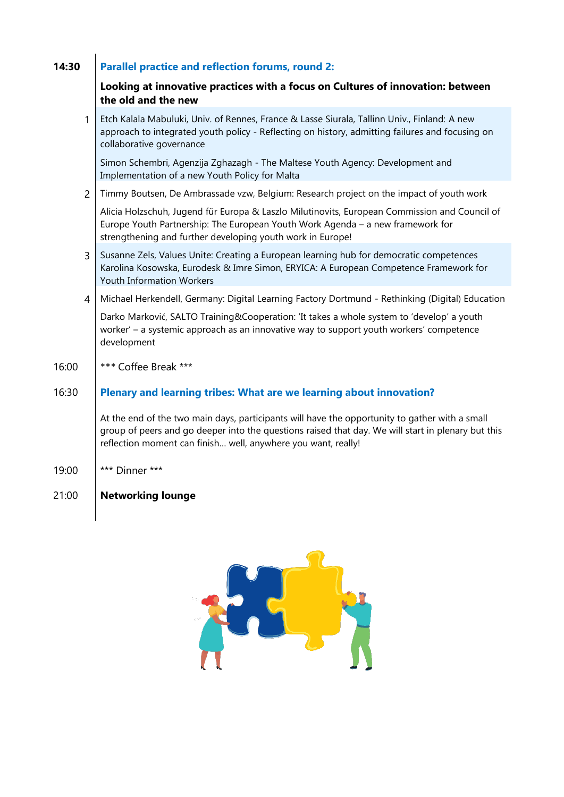## **14:30 Parallel practice and reflection forums, round 2:**

#### **Looking at innovative practices with a focus on Cultures of innovation: between the old and the new**

| 1              | Etch Kalala Mabuluki, Univ. of Rennes, France & Lasse Siurala, Tallinn Univ., Finland: A new<br>approach to integrated youth policy - Reflecting on history, admitting failures and focusing on<br>collaborative governance                                           |
|----------------|-----------------------------------------------------------------------------------------------------------------------------------------------------------------------------------------------------------------------------------------------------------------------|
|                | Simon Schembri, Agenzija Zghazagh - The Maltese Youth Agency: Development and<br>Implementation of a new Youth Policy for Malta                                                                                                                                       |
| $\overline{2}$ | Timmy Boutsen, De Ambrassade vzw, Belgium: Research project on the impact of youth work                                                                                                                                                                               |
|                | Alicia Holzschuh, Jugend für Europa & Laszlo Milutinovits, European Commission and Council of<br>Europe Youth Partnership: The European Youth Work Agenda - a new framework for<br>strengthening and further developing youth work in Europe!                         |
| 3              | Susanne Zels, Values Unite: Creating a European learning hub for democratic competences<br>Karolina Kosowska, Eurodesk & Imre Simon, ERYICA: A European Competence Framework for<br><b>Youth Information Workers</b>                                                  |
| 4              | Michael Herkendell, Germany: Digital Learning Factory Dortmund - Rethinking (Digital) Education                                                                                                                                                                       |
|                | Darko Marković, SALTO Training&Cooperation: 'It takes a whole system to 'develop' a youth<br>worker' - a systemic approach as an innovative way to support youth workers' competence<br>development                                                                   |
| 16:00          | *** Coffee Break ***                                                                                                                                                                                                                                                  |
| 16:30          | Plenary and learning tribes: What are we learning about innovation?                                                                                                                                                                                                   |
|                | At the end of the two main days, participants will have the opportunity to gather with a small<br>group of peers and go deeper into the questions raised that day. We will start in plenary but this<br>reflection moment can finish well, anywhere you want, really! |
|                |                                                                                                                                                                                                                                                                       |

19:00 \*\*\* Dinner \*\*\*

## 21:00 **Networking lounge**

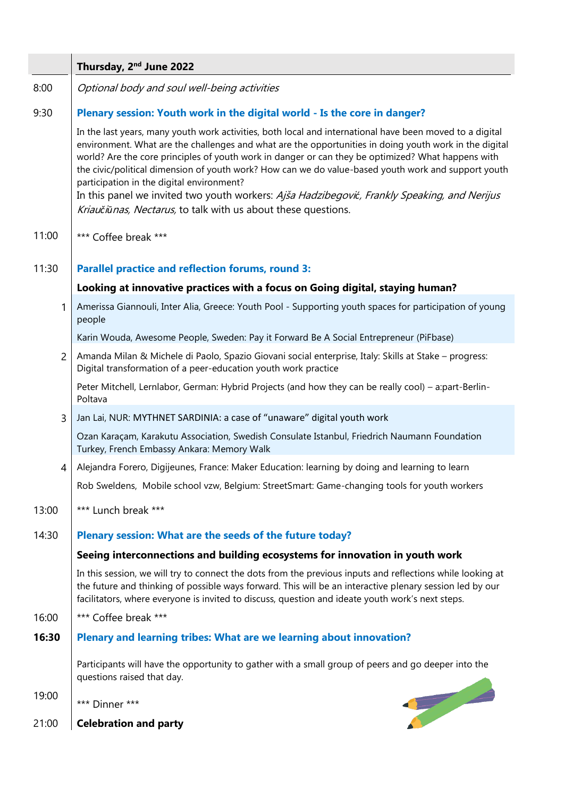|                | Thursday, 2 <sup>nd</sup> June 2022                                                                                                                                                                                                                                                                                                                                                                                                                                                                                                                                                                                                           |
|----------------|-----------------------------------------------------------------------------------------------------------------------------------------------------------------------------------------------------------------------------------------------------------------------------------------------------------------------------------------------------------------------------------------------------------------------------------------------------------------------------------------------------------------------------------------------------------------------------------------------------------------------------------------------|
| 8:00           | Optional body and soul well-being activities                                                                                                                                                                                                                                                                                                                                                                                                                                                                                                                                                                                                  |
| 9:30           | Plenary session: Youth work in the digital world - Is the core in danger?                                                                                                                                                                                                                                                                                                                                                                                                                                                                                                                                                                     |
|                | In the last years, many youth work activities, both local and international have been moved to a digital<br>environment. What are the challenges and what are the opportunities in doing youth work in the digital<br>world? Are the core principles of youth work in danger or can they be optimized? What happens with<br>the civic/political dimension of youth work? How can we do value-based youth work and support youth<br>participation in the digital environment?<br>In this panel we invited two youth workers: Ajša Hadzibegović, Frankly Speaking, and Nerijus<br>Kriaučiūnas, Nectarus, to talk with us about these questions. |
| 11:00          | *** Coffee break ***                                                                                                                                                                                                                                                                                                                                                                                                                                                                                                                                                                                                                          |
| 11:30          | <b>Parallel practice and reflection forums, round 3:</b>                                                                                                                                                                                                                                                                                                                                                                                                                                                                                                                                                                                      |
|                | Looking at innovative practices with a focus on Going digital, staying human?                                                                                                                                                                                                                                                                                                                                                                                                                                                                                                                                                                 |
| 1              | Amerissa Giannouli, Inter Alia, Greece: Youth Pool - Supporting youth spaces for participation of young<br>people                                                                                                                                                                                                                                                                                                                                                                                                                                                                                                                             |
|                | Karin Wouda, Awesome People, Sweden: Pay it Forward Be A Social Entrepreneur (PiFbase)                                                                                                                                                                                                                                                                                                                                                                                                                                                                                                                                                        |
| $\overline{2}$ | Amanda Milan & Michele di Paolo, Spazio Giovani social enterprise, Italy: Skills at Stake - progress:<br>Digital transformation of a peer-education youth work practice                                                                                                                                                                                                                                                                                                                                                                                                                                                                       |
|                | Peter Mitchell, Lernlabor, German: Hybrid Projects (and how they can be really cool) - a:part-Berlin-<br>Poltava                                                                                                                                                                                                                                                                                                                                                                                                                                                                                                                              |
| 3              | Jan Lai, NUR: MYTHNET SARDINIA: a case of "unaware" digital youth work                                                                                                                                                                                                                                                                                                                                                                                                                                                                                                                                                                        |
|                | Ozan Karaçam, Karakutu Association, Swedish Consulate Istanbul, Friedrich Naumann Foundation<br>Turkey, French Embassy Ankara: Memory Walk                                                                                                                                                                                                                                                                                                                                                                                                                                                                                                    |
| 4              | Alejandra Forero, Digijeunes, France: Maker Education: learning by doing and learning to learn                                                                                                                                                                                                                                                                                                                                                                                                                                                                                                                                                |
|                | Rob Sweldens, Mobile school vzw, Belgium: StreetSmart: Game-changing tools for youth workers                                                                                                                                                                                                                                                                                                                                                                                                                                                                                                                                                  |
| 13:00          | *** Lunch break ***                                                                                                                                                                                                                                                                                                                                                                                                                                                                                                                                                                                                                           |
| 14:30          | Plenary session: What are the seeds of the future today?                                                                                                                                                                                                                                                                                                                                                                                                                                                                                                                                                                                      |
|                | Seeing interconnections and building ecosystems for innovation in youth work                                                                                                                                                                                                                                                                                                                                                                                                                                                                                                                                                                  |
|                | In this session, we will try to connect the dots from the previous inputs and reflections while looking at<br>the future and thinking of possible ways forward. This will be an interactive plenary session led by our<br>facilitators, where everyone is invited to discuss, question and ideate youth work's next steps.                                                                                                                                                                                                                                                                                                                    |
| 16:00          | *** Coffee break ***                                                                                                                                                                                                                                                                                                                                                                                                                                                                                                                                                                                                                          |
| 16:30          | Plenary and learning tribes: What are we learning about innovation?                                                                                                                                                                                                                                                                                                                                                                                                                                                                                                                                                                           |
|                | Participants will have the opportunity to gather with a small group of peers and go deeper into the<br>questions raised that day.                                                                                                                                                                                                                                                                                                                                                                                                                                                                                                             |
| 19:00          | *** Dinner ***                                                                                                                                                                                                                                                                                                                                                                                                                                                                                                                                                                                                                                |
| 21:00          | <b>Celebration and party</b>                                                                                                                                                                                                                                                                                                                                                                                                                                                                                                                                                                                                                  |